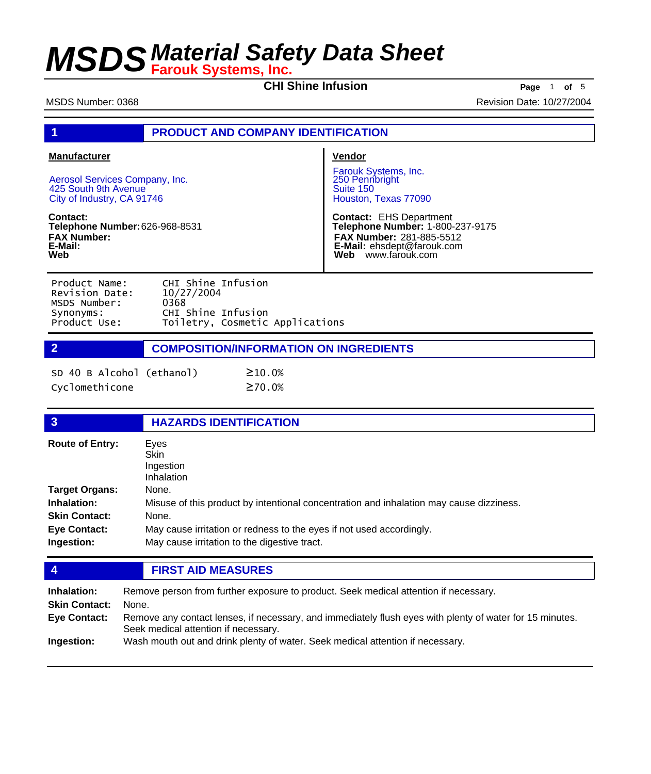**CHI Shine Infusion Page** 1 **of** 5

| MSDS Number: 0368                                                                                           |                                                                                                   | Revision Date: 10/27/2004                                                                                                                          |
|-------------------------------------------------------------------------------------------------------------|---------------------------------------------------------------------------------------------------|----------------------------------------------------------------------------------------------------------------------------------------------------|
|                                                                                                             | <b>PRODUCT AND COMPANY IDENTIFICATION</b>                                                         |                                                                                                                                                    |
| <b>Manufacturer</b><br>Aerosol Services Company, Inc.<br>425 South 9th Avenue<br>City of Industry, CA 91746 |                                                                                                   | Vendor<br>Farouk Systems, Inc.<br>250 Pennbright<br>Suite 150<br>Houston, Texas 77090                                                              |
| Contact:<br>Telephone Number: 626-968-8531<br><b>FAX Number:</b><br>E-Mail:<br>Web                          |                                                                                                   | <b>Contact: EHS Department</b><br>Telephone Number: 1-800-237-9175<br>FAX Number: 281-885-5512<br>E-Mail: ehsdept@farouk.com<br>Web www.farouk.com |
| Product Name:<br>Revision Date:<br>MSDS Number:<br>Synonyms:<br>Product Use:                                | CHI Shine Infusion<br>10/27/2004<br>0368<br>CHI Shine Infusion<br>Toiletry, Cosmetic Applications |                                                                                                                                                    |
| $\overline{2}$                                                                                              | <b>COMPOSITION/INFORMATION ON INGREDIENTS</b>                                                     |                                                                                                                                                    |
| SD 40 B Alcohol (ethanol)<br>Cyclomethicone                                                                 | $\geq 10.0%$<br>$\geq$ 70.0%                                                                      |                                                                                                                                                    |
| 3                                                                                                           | <b>HAZARDS IDENTIFICATION</b>                                                                     |                                                                                                                                                    |

| <b>Route of Entry:</b> | Eyes<br><b>Skin</b><br>Ingestion<br>Inhalation                                          |
|------------------------|-----------------------------------------------------------------------------------------|
| <b>Target Organs:</b>  | None.                                                                                   |
| Inhalation:            | Misuse of this product by intentional concentration and inhalation may cause dizziness. |
| <b>Skin Contact:</b>   | None.                                                                                   |
| <b>Eye Contact:</b>    | May cause irritation or redness to the eyes if not used accordingly.                    |
| Ingestion:             | May cause irritation to the digestive tract.                                            |
|                        |                                                                                         |

### **4 FIRST AID MEASURES**

| Inhalation:<br><b>Skin Contact:</b><br>Eye Contact: | Remove person from further exposure to product. Seek medical attention if necessary.<br>None.<br>Remove any contact lenses, if necessary, and immediately flush eyes with plenty of water for 15 minutes.<br>Seek medical attention if necessary. |
|-----------------------------------------------------|---------------------------------------------------------------------------------------------------------------------------------------------------------------------------------------------------------------------------------------------------|
| Ingestion:                                          | Wash mouth out and drink plenty of water. Seek medical attention if necessary.                                                                                                                                                                    |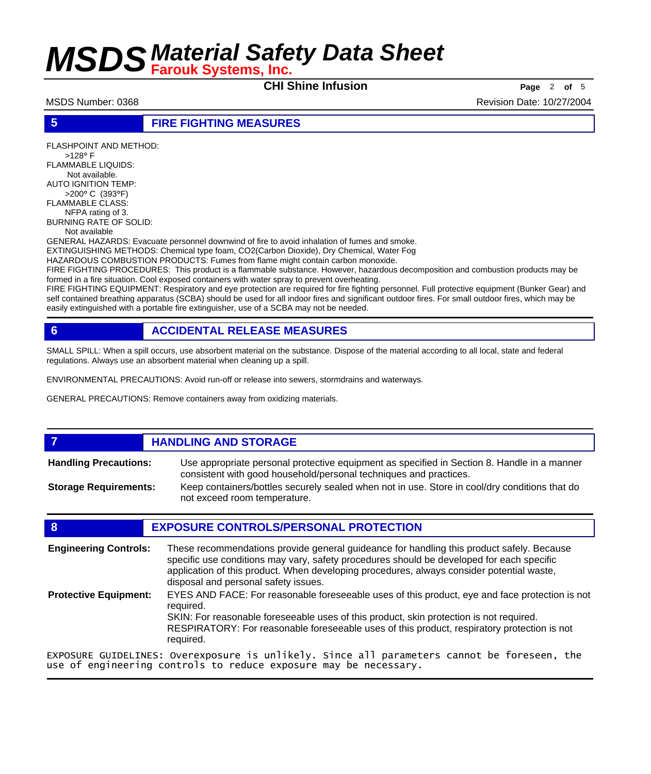**CHI Shine Infusion Page** <sup>2</sup> **of** <sup>5</sup>

MSDS Number: 0368 Revision Date: 10/27/2004

#### **5 FIRE FIGHTING MEASURES**

FLASHPOINT AND METHOD: >128° F FLAMMABLE LIQUIDS: Not available. AUTO IGNITION TEMP: >200° C (393°F) FLAMMABLE CLASS: NFPA rating of 3. BURNING RATE OF SOLID: Not available GENERAL HAZARDS: Evacuate personnel downwind of fire to avoid inhalation of fumes and smoke. EXTINGUISHING METHODS: Chemical type foam, CO2(Carbon Dioxide), Dry Chemical, Water Fog HAZARDOUS COMBUSTION PRODUCTS: Fumes from flame might contain carbon monoxide. FIRE FIGHTING PROCEDURES: This product is a flammable substance. However, hazardous decomposition and combustion products may be formed in a fire situation. Cool exposed containers with water spray to prevent overheating. FIRE FIGHTING EQUIPMENT: Respiratory and eye protection are required for fire fighting personnel. Full protective equipment (Bunker Gear) and self contained breathing apparatus (SCBA) should be used for all indoor fires and significant outdoor fires. For small outdoor fires, which may be

easily extinguished with a portable fire extinguisher, use of a SCBA may not be needed.

### **6 ACCIDENTAL RELEASE MEASURES**

SMALL SPILL: When a spill occurs, use absorbent material on the substance. Dispose of the material according to all local, state and federal regulations. Always use an absorbent material when cleaning up a spill.

ENVIRONMENTAL PRECAUTIONS: Avoid run-off or release into sewers, stormdrains and waterways.

GENERAL PRECAUTIONS: Remove containers away from oxidizing materials.

#### *HANDLING AND STORAGE* Use appropriate personal protective equipment as specified in Section 8. Handle in a manner consistent with good household/personal techniques and practices. **Handling Precautions:** Keep containers/bottles securely sealed when not in use. Store in cool/dry conditions that do not exceed room temperature. **Storage Requirements:**

#### **8 EXPOSURE CONTROLS/PERSONAL PROTECTION**

| <b>Engineering Controls:</b> | These recommendations provide general guideance for handling this product safely. Because<br>specific use conditions may vary, safety procedures should be developed for each specific<br>application of this product. When developing procedures, always consider potential waste,<br>disposal and personal safety issues. |
|------------------------------|-----------------------------------------------------------------------------------------------------------------------------------------------------------------------------------------------------------------------------------------------------------------------------------------------------------------------------|
| <b>Protective Equipment:</b> | EYES AND FACE: For reasonable foreseeable uses of this product, eye and face protection is not<br>reauired.<br>SKIN: For reasonable foreseeable uses of this product, skin protection is not required.<br>RESPIRATORY: For reasonable foreseeable uses of this product, respiratory protection is not<br>required.          |
|                              | EXPOSURE GUIDELINES: Overexposure is unlikely. Since all parameters cannot be foreseen, the<br>use of engineering controls to reduce exposure may be necessary.                                                                                                                                                             |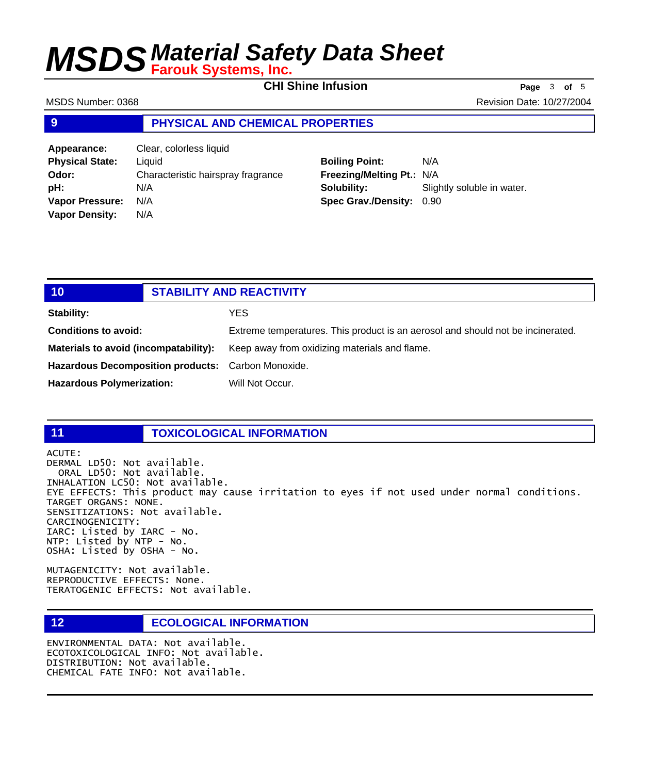**CHI Shine Infusion Page** <sup>3</sup> **of** <sup>5</sup>

MSDS Number: 0368 Revision Date: 10/27/2004

#### **9 PHYSICAL AND CHEMICAL PROPERTIES**

| Appearance:            | Clear, colorless liquid            |
|------------------------|------------------------------------|
| <b>Physical State:</b> | Liquid                             |
| Odor:                  | Characteristic hairspray fragrance |
| pH:                    | N/A                                |
| <b>Vapor Pressure:</b> | N/A                                |
| <b>Vapor Density:</b>  | N/A                                |

### **Boiling Point:** N/A **Freezing/Melting Pt.:** N/A **Solubility:** Slightly soluble in water. **Spec Grav./Density:** 0.90

| 10                                                 | <b>STABILITY AND REACTIVITY</b> |                                                                                 |
|----------------------------------------------------|---------------------------------|---------------------------------------------------------------------------------|
| <b>Stability:</b>                                  |                                 | YES                                                                             |
| <b>Conditions to avoid:</b>                        |                                 | Extreme temperatures. This product is an aerosol and should not be incinerated. |
| Materials to avoid (incompatability):              |                                 | Keep away from oxidizing materials and flame.                                   |
| Hazardous Decomposition products: Carbon Monoxide. |                                 |                                                                                 |
| <b>Hazardous Polymerization:</b>                   |                                 | Will Not Occur.                                                                 |

#### **11 TOXICOLOGICAL INFORMATION**

ACUTE: DERMAL LD50: Not available. ORAL LD50: Not available. INHALATION LC50: Not available. EYE EFFECTS: This product may cause irritation to eyes if not used under normal conditions. TARGET ORGANS: NONE. SENSITIZATIONS: Not available. CARCINOGENICITY: IARC: Listed by IARC - No. NTP: Listed by NTP - No. OSHA: Listed by OSHA - No.

MUTAGENICITY: Not available. REPRODUCTIVE EFFECTS: None. TERATOGENIC EFFECTS: Not available.

#### **12 ECOLOGICAL INFORMATION**

ENVIRONMENTAL DATA: Not available. ECOTOXICOLOGICAL INFO: Not available. DISTRIBUTION: Not available. CHEMICAL FATE INFO: Not available.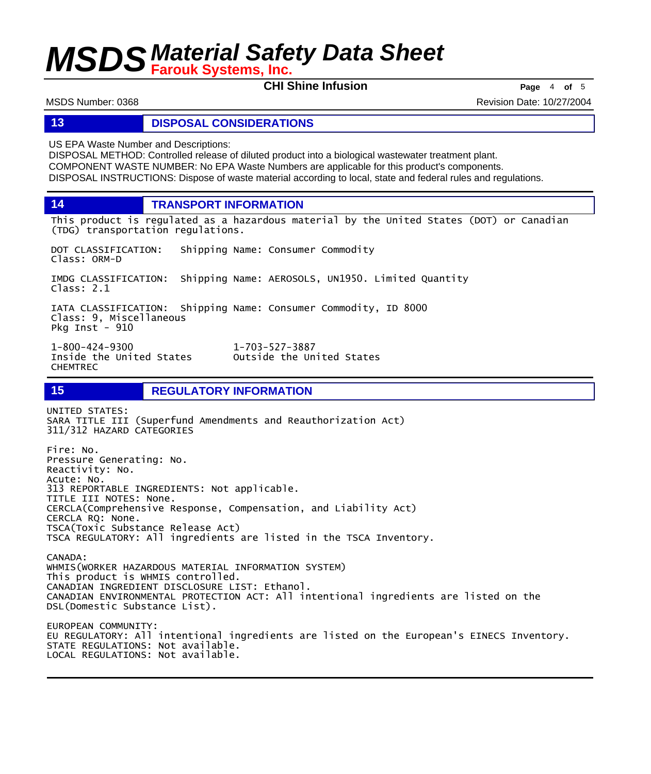**CHI Shine Infusion Page** <sup>4</sup> **of** <sup>5</sup>

MSDS Number: 0368 Revision Date: 10/27/2004

#### **13 DISPOSAL CONSIDERATIONS**

US EPA Waste Number and Descriptions:

DISPOSAL METHOD: Controlled release of diluted product into a biological wastewater treatment plant. COMPONENT WASTE NUMBER: No EPA Waste Numbers are applicable for this product's components. DISPOSAL INSTRUCTIONS: Dispose of waste material according to local, state and federal rules and regulations.

**14 TRANSPORT INFORMATION**

This product is regulated as a hazardous material by the United States (DOT) or Canadian (TDG) transportation regulations.

DOT CLASSIFICATION: Shipping Name: Consumer Commodity Class: ORM-D

IMDG CLASSIFICATION: Shipping Name: AEROSOLS, UN1950. Limited Quantity Class: 2.1

IATA CLASSIFICATION: Shipping Name: Consumer Commodity, ID 8000 Class: 9, Miscellaneous Pkg Inst - 910

Inside the United States CHEMTREC

1-800-424-9300 1-703-527-3887

**15 REGULATORY INFORMATION**

UNITED STATES: SARA TITLE III (Superfund Amendments and Reauthorization Act) 311/312 HAZARD CATEGORIES

Fire: No. Pressure Generating: No. Reactivity: No. Acute: No. 313 REPORTABLE INGREDIENTS: Not applicable. TITLE III NOTES: None. CERCLA(Comprehensive Response, Compensation, and Liability Act) CERCLA RQ: None. TSCA(Toxic Substance Release Act) TSCA REGULATORY: All ingredients are listed in the TSCA Inventory. CANADA: WHMIS(WORKER HAZARDOUS MATERIAL INFORMATION SYSTEM)

This product is WHMIS controlled. CANADIAN INGREDIENT DISCLOSURE LIST: Ethanol. CANADIAN ENVIRONMENTAL PROTECTION ACT: All intentional ingredients are listed on the DSL(Domestic Substance List). EUROPEAN COMMUNITY: EU REGULATORY: All intentional ingredients are listed on the European's EINECS Inventory. STATE REGULATIONS: Not available. LOCAL REGULATIONS: Not available.